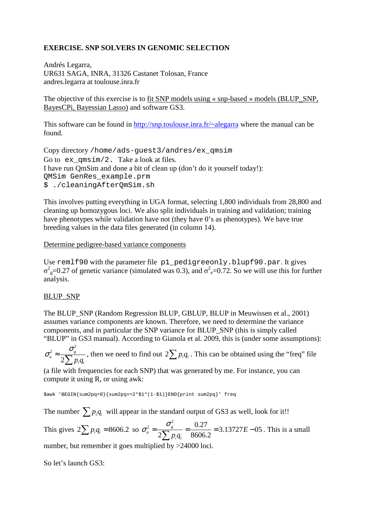# **EXERCISE. SNP SOLVERS IN GENOMIC SELECTION**

Andrés Legarra, UR631 SAGA, INRA, 31326 Castanet Tolosan, France andres.legarra at toulouse.inra.fr

The objective of this exercise is to fit SNP models using « snp-based » models (BLUP\_SNP, BayesCPi, Bayessian Lasso) and software GS3.

This software can be found in http://snp.toulouse.inra.fr/~alegarra where the manual can be found.

Copy directory /home/ads-guest3/andres/ex\_qmsim Go to  $ex$  qmsim/2. Take a look at files. I have run QmSim and done a bit of clean up (don't do it yourself today!): QMSim GenRes\_example.prm \$ ./cleaningAfterQmSim.sh

This involves putting everything in UGA format, selecting 1,800 individuals from 28,800 and cleaning up homozygous loci. We also split individuals in training and validation; training have phenotypes while validation have not (they have 0's as phenotypes). We have true breeding values in the data files generated (in column 14).

#### Determine pedigree-based variance components

Use remlf90 with the parameter file p1\_pedigreeonly.blupf90.par. It gives  $σ<sup>2</sup><sub>g</sub>=0.27$  of genetic variance (simulated was 0.3), and  $σ<sup>2</sup><sub>e</sub>=0.72$ . So we will use this for further analysis.

## BLUP\_SNP

The BLUP\_SNP (Random Regression BLUP, GBLUP, BLUP in Meuwissen et al., 2001) assumes variance components are known. Therefore, we need to determine the variance components, and in particular the SNP variance for BLUP\_SNP (this is simply called "BLUP" in GS3 manual). According to Gianola et al. 2009, this is (under some assumptions):

2 2 2 *g*  $a^a$ <sup> $a$ </sup>  $2\sum p_i q_i$  $\sigma_a^2 \approx \frac{\sigma}{2\sum}$ , then we need to find out  $2\sum p_i q_i$ . This can be obtained using the "freq" file

(a file with frequencies for each SNP) that was generated by me. For instance, you can compute it using R, or using awk:

\$awk 'BEGIN{sum2pq=0}{sum2pq+=2\*\$1\*(1-\$1)}END{print sum2pq}' freq

The number  $\sum_{i} p_i q_i$  will appear in the standard output of GS3 as well, look for it!!

This gives  $2\sum p_i q_i = 8606.2$  so  $\sigma_a^2 \approx \frac{\sigma_s^2}{2\sum_{n=1}^{\infty} a_n} = \frac{0.27}{8606.2} = 3.13727E - 0.5$  $2[\sum p_i q_i \quad 8606.2]$ *g a i i E*  $p_i q$  $\sigma_a^2 \approx \frac{\sigma_s^2}{2\sum p_i q_i} = \frac{0.27}{8606.2} = 3.13727E - 0.5$ . This is a small number, but remember it goes multiplied by >24000 loci.

So let's launch GS3: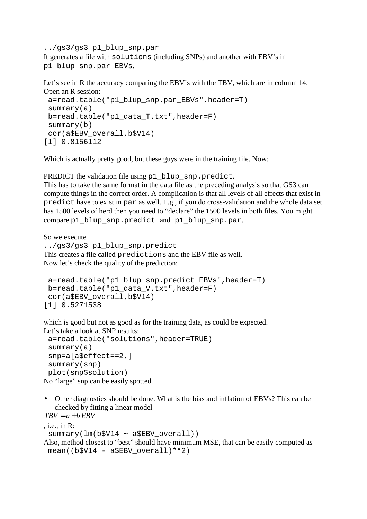../gs3/gs3 p1\_blup\_snp.par It generates a file with solutions (including SNPs) and another with EBV's in p1\_blup\_snp.par\_EBVs.

Let's see in R the accuracy comparing the EBV's with the TBV, which are in column 14. Open an R session:

```
 a=read.table("p1_blup_snp.par_EBVs",header=T) 
 summary(a) 
 b=read.table("p1_data_T.txt",header=F) 
 summary(b) 
 cor(a$EBV_overall,b$V14) 
[1] 0.8156112
```
Which is actually pretty good, but these guys were in the training file. Now:

PREDICT the validation file using p1\_blup\_snp.predict.

This has to take the same format in the data file as the preceding analysis so that GS3 can compute things in the correct order. A complication is that all levels of all effects that exist in predict have to exist in par as well. E.g., if you do cross-validation and the whole data set has 1500 levels of herd then you need to "declare" the 1500 levels in both files. You might compare p1\_blup\_snp.predict\_and p1\_blup\_snp.par.

So we execute ../gs3/gs3 p1\_blup\_snp.predict This creates a file called predictions and the EBV file as well. Now let's check the quality of the prediction:

```
 a=read.table("p1_blup_snp.predict_EBVs",header=T) 
 b=read.table("p1_data_V.txt",header=F) 
 cor(a$EBV_overall,b$V14) 
[1] 0.5271538
```
which is good but not as good as for the training data, as could be expected. Let's take a look at SNP results:

```
 a=read.table("solutions",header=TRUE) 
  summary(a) 
  snp=a[a$effect==2,] 
  summary(snp) 
  plot(snp$solution) 
No "large" snp can be easily spotted.
```
• Other diagnostics should be done. What is the bias and inflation of EBVs? This can be checked by fitting a linear model  $TBV = a + b$  *EBV* 

```
, i.e., in R: 
  summary(lm(b$V14 ~ a$EBV_overall))
Also, method closest to "best" should have minimum MSE, that can be easily computed as 
 mean((b$V14 - a$EBV overall)**2)
```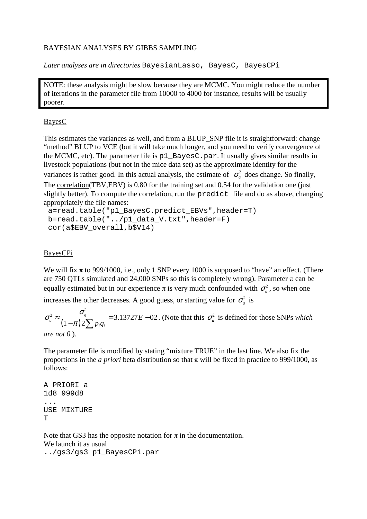# BAYESIAN ANALYSES BY GIBBS SAMPLING

*Later analyses are in directories* BayesianLasso, BayesC, BayesCPi

NOTE: these analysis might be slow because they are MCMC. You might reduce the number of iterations in the parameter file from 10000 to 4000 for instance, results will be usually poorer.

### BayesC

This estimates the variances as well, and from a BLUP SNP file it is straightforward: change "method" BLUP to VCE (but it will take much longer, and you need to verify convergence of the MCMC, etc). The parameter file is p1\_BayesC.par. It usually gives similar results in livestock populations (but not in the mice data set) as the approximate identity for the variances is rather good. In this actual analysis, the estimate of  $\sigma_a^2$  does change. So finally, The correlation(TBV,EBV) is 0.80 for the training set and 0.54 for the validation one (just slightly better). To compute the correlation, run the predict file and do as above, changing appropriately the file names:

```
 a=read.table("p1_BayesC.predict_EBVs",header=T) 
 b=read.table("../p1_data_V.txt",header=F) 
 cor(a$EBV_overall,b$V14)
```
# BayesCPi

We will fix  $\pi$  to 999/1000, i.e., only 1 SNP every 1000 is supposed to "have" an effect. (There are 750 QTLs simulated and 24,000 SNPs so this is completely wrong). Parameter π can be equally estimated but in our experience  $\pi$  is very much confounded with  $\sigma_a^2$ , so when one

increases the other decreases. A good guess, or starting value for  $\sigma_a^2$  is

 $(1-\pi)$ 2  $\frac{2}{3} \approx \frac{6}{(1)} = 3.13727E - 0.02$  $1 - \pi$ ) 2 *g a i i E*  $p_i q$ σ σ  $\approx \frac{C_g}{(1-\pi)2\sum p_i q_i} = 3.13727E - 02$ . (Note that this  $\sigma_a^2$  is defined for those SNPs *which* 

*are not 0* )*.*

The parameter file is modified by stating "mixture TRUE" in the last line. We also fix the proportions in the *a priori* beta distribution so that  $\pi$  will be fixed in practice to 999/1000, as follows:

```
A PRIORI a 
1d8 999d8 
... 
USE MIXTURE 
T
```
Note that GS3 has the opposite notation for  $\pi$  in the documentation. We launch it as usual ../gs3/gs3 p1\_BayesCPi.par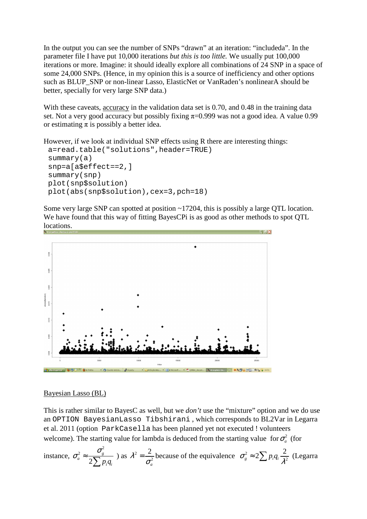In the output you can see the number of SNPs "drawn" at an iteration: "includeda". In the parameter file I have put 10,000 iterations *but this is too little.* We usually put 100,000 iterations or more. Imagine: it should ideally explore all combinations of 24 SNP in a space of some 24,000 SNPs. (Hence, in my opinion this is a source of inefficiency and other options such as BLUP\_SNP or non-linear Lasso, ElasticNet or VanRaden's nonlinearA should be better, specially for very large SNP data.)

With these caveats, accuracy in the validation data set is 0.70, and 0.48 in the training data set. Not a very good accuracy but possibly fixing  $\pi=0.999$  was not a good idea. A value 0.99 or estimating  $\pi$  is possibly a better idea.

However, if we look at individual SNP effects using R there are interesting things:

```
 a=read.table("solutions",header=TRUE) 
 summary(a) 
 snp=a[a$effect==2,] 
 summary(snp) 
 plot(snp$solution) 
 plot(abs(snp$solution),cex=3,pch=18)
```
Some very large SNP can spotted at position ~17204, this is possibly a large QTL location. We have found that this way of fitting BayesCPi is as good as other methods to spot QTL locations.



#### Bayesian Lasso (BL)

This is rather similar to BayesC as well, but we *don't* use the "mixture" option and we do use an OPTION BayesianLasso Tibshirani , which corresponds to BL2Var in Legarra et al. 2011 (option ParkCasella has been planned yet not executed ! volunteers welcome). The starting value for lambda is deduced from the starting value for  $\sigma_a^2$  (for

instance, 
$$
\sigma_a^2 \approx \frac{\sigma_g^2}{2\sum p_i q_i}
$$
 ) as  $\lambda^2 = \frac{2}{\sigma_a^2}$  because of the equivalence  $\sigma_g^2 \approx 2\sum p_i q_i \frac{2}{\lambda^2}$  (Legarra